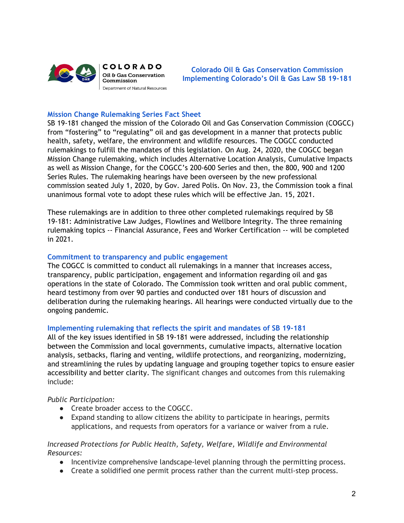

**Colorado Oil & Gas Conservation Commission Implementing Colorado's Oil & Gas Law SB 19-181**

### **Mission Change Rulemaking Series Fact Sheet**

SB 19-181 changed the mission of the Colorado Oil and Gas Conservation Commission (COGCC) from "fostering" to "regulating" oil and gas development in a manner that protects public health, safety, welfare, the environment and wildlife resources. The COGCC conducted rulemakings to fulfill the mandates of this legislation. On Aug. 24, 2020, the COGCC began Mission Change rulemaking, which includes Alternative Location Analysis, Cumulative Impacts as well as Mission Change, for the COGCC's 200-600 Series and then, the 800, 900 and 1200 Series Rules. The rulemaking hearings have been overseen by the new professional commission seated July 1, 2020, by Gov. Jared Polis. On Nov. 23, the Commission took a final unanimous formal vote to adopt these rules which will be effective Jan. 15, 2021.

These rulemakings are in addition to three other completed rulemakings required by SB 19-181: Administrative Law Judges, Flowlines and Wellbore Integrity. The three remaining rulemaking topics -- Financial Assurance, Fees and Worker Certification -- will be completed in 2021.

#### **Commitment to transparency and public engagement**

The COGCC is committed to conduct all rulemakings in a manner that increases access, transparency, public participation, engagement and information regarding oil and gas operations in the state of Colorado. The Commission took written and oral public comment, heard testimony from over 90 parties and conducted over 181 hours of discussion and deliberation during the rulemaking hearings. All hearings were conducted virtually due to the ongoing pandemic.

#### **Implementing rulemaking that reflects the spirit and mandates of SB 19-181**

All of the key issues identified in SB 19-181 were addressed, including the relationship between the Commission and local governments, cumulative impacts, alternative location analysis, setbacks, flaring and venting, wildlife protections, and reorganizing, modernizing, and streamlining the rules by updating language and grouping together topics to ensure easier accessibility and better clarity. The significant changes and outcomes from this rulemaking include:

#### *Public Participation:*

- Create broader access to the COGCC.
- Expand standing to allow citizens the ability to participate in hearings, permits applications, and requests from operators for a variance or waiver from a rule.

#### *Increased Protections for Public Health, Safety, Welfare, Wildlife and Environmental Resources:*

- Incentivize comprehensive landscape-level planning through the permitting process.
- Create a solidified one permit process rather than the current multi-step process.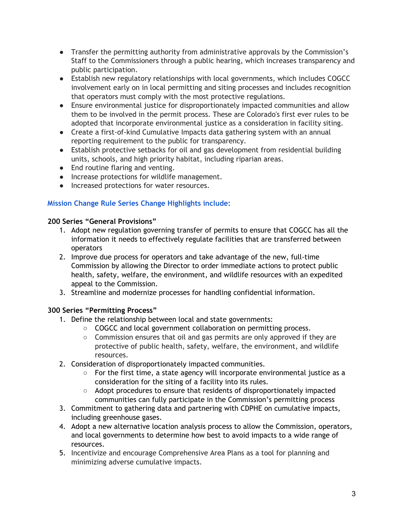- Transfer the permitting authority from administrative approvals by the Commission's Staff to the Commissioners through a public hearing, which increases transparency and public participation.
- Establish new regulatory relationships with local governments, which includes COGCC involvement early on in local permitting and siting processes and includes recognition that operators must comply with the most protective regulations.
- Ensure environmental justice for disproportionately impacted communities and allow them to be involved in the permit process. These are Colorado's first ever rules to be adopted that incorporate environmental justice as a consideration in facility siting.
- Create a first-of-kind Cumulative Impacts data gathering system with an annual reporting requirement to the public for transparency.
- Establish protective setbacks for oil and gas development from residential building units, schools, and high priority habitat, including riparian areas.
- End routine flaring and venting.
- Increase protections for wildlife management.
- Increased protections for water resources.

# **Mission Change Rule Series Change Highlights include:**

### **200 Series "General Provisions"**

- 1. Adopt new regulation governing transfer of permits to ensure that COGCC has all the information it needs to effectively regulate facilities that are transferred between operators
- 2. Improve due process for operators and take advantage of the new, full-time Commission by allowing the Director to order immediate actions to protect public health, safety, welfare, the environment, and wildlife resources with an expedited appeal to the Commission.
- 3. Streamline and modernize processes for handling confidential information.

## **300 Series "Permitting Process"**

- 1. Define the relationship between local and state governments:
	- COGCC and local government collaboration on permitting process.
	- Commission ensures that oil and gas permits are only approved if they are protective of public health, safety, welfare, the environment, and wildlife resources.
- 2. Consideration of disproportionately impacted communities.
	- For the first time, a state agency will incorporate environmental justice as a consideration for the siting of a facility into its rules.
	- Adopt procedures to ensure that residents of disproportionately impacted communities can fully participate in the Commission's permitting process
- 3. Commitment to gathering data and partnering with CDPHE on cumulative impacts, including greenhouse gases.
- 4. Adopt a new alternative location analysis process to allow the Commission, operators, and local governments to determine how best to avoid impacts to a wide range of resources.
- 5. Incentivize and encourage Comprehensive Area Plans as a tool for planning and minimizing adverse cumulative impacts.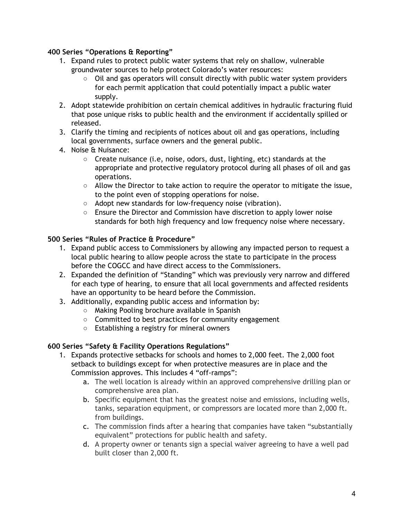### **400 Series "Operations & Reporting"**

- 1. Expand rules to protect public water systems that rely on shallow, vulnerable groundwater sources to help protect Colorado's water resources:
	- Oil and gas operators will consult directly with public water system providers for each permit application that could potentially impact a public water supply.
- 2. Adopt statewide prohibition on certain chemical additives in hydraulic fracturing fluid that pose unique risks to public health and the environment if accidentally spilled or released.
- 3. Clarify the timing and recipients of notices about oil and gas operations, including local governments, surface owners and the general public.
- 4. Noise & Nuisance:
	- Create nuisance (i.e, noise, odors, dust, lighting, etc) standards at the appropriate and protective regulatory protocol during all phases of oil and gas operations.
	- Allow the Director to take action to require the operator to mitigate the issue, to the point even of stopping operations for noise.
	- Adopt new standards for low-frequency noise (vibration).
	- Ensure the Director and Commission have discretion to apply lower noise standards for both high frequency and low frequency noise where necessary.

### **500 Series "Rules of Practice & Procedure"**

- 1. Expand public access to Commissioners by allowing any impacted person to request a local public hearing to allow people across the state to participate in the process before the COGCC and have direct access to the Commissioners.
- 2. Expanded the definition of "Standing" which was previously very narrow and differed for each type of hearing, to ensure that all local governments and affected residents have an opportunity to be heard before the Commission.
- 3. Additionally, expanding public access and information by:
	- Making Pooling brochure available in Spanish
	- Committed to best practices for community engagement
	- Establishing a registry for mineral owners

# **600 Series "Safety & Facility Operations Regulations"**

- 1. Expands protective setbacks for schools and homes to 2,000 feet. The 2,000 foot setback to buildings except for when protective measures are in place and the Commission approves. This includes 4 "off-ramps":
	- a. The well location is already within an approved comprehensive drilling plan or comprehensive area plan.
	- b. Specific equipment that has the greatest noise and emissions, including wells, tanks, separation equipment, or compressors are located more than 2,000 ft. from buildings.
	- c. The commission finds after a hearing that companies have taken "substantially equivalent" protections for public health and safety.
	- d. A property owner or tenants sign a special waiver agreeing to have a well pad built closer than 2,000 ft.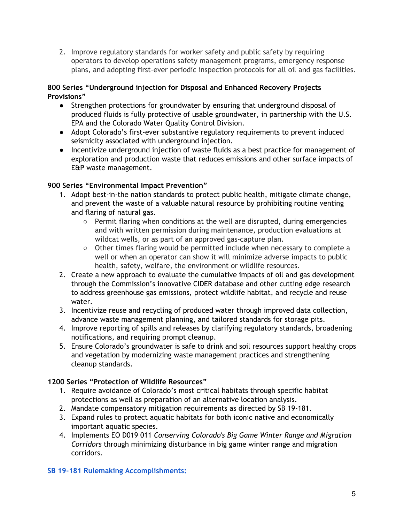2. Improve regulatory standards for worker safety and public safety by requiring operators to develop operations safety management programs, emergency response plans, and adopting first-ever periodic inspection protocols for all oil and gas facilities.

## **800 Series "Underground injection for Disposal and Enhanced Recovery Projects Provisions"**

- Strengthen protections for groundwater by ensuring that underground disposal of produced fluids is fully protective of usable groundwater, in partnership with the U.S. EPA and the Colorado Water Quality Control Division.
- Adopt Colorado's first-ever substantive regulatory requirements to prevent induced seismicity associated with underground injection.
- Incentivize underground injection of waste fluids as a best practice for management of exploration and production waste that reduces emissions and other surface impacts of E&P waste management.

## **900 Series "Environmental Impact Prevention"**

- 1. Adopt best-in-the nation standards to protect public health, mitigate climate change, and prevent the waste of a valuable natural resource by prohibiting routine venting and flaring of natural gas.
	- Permit flaring when conditions at the well are disrupted, during emergencies and with written permission during maintenance, production evaluations at wildcat wells, or as part of an approved gas-capture plan.
	- Other times flaring would be permitted include when necessary to complete a well or when an operator can show it will minimize adverse impacts to public health, safety, welfare, the environment or wildlife resources.
- 2. Create a new approach to evaluate the cumulative impacts of oil and gas development through the Commission's innovative CIDER database and other cutting edge research to address greenhouse gas emissions, protect wildlife habitat, and recycle and reuse water.
- 3. Incentivize reuse and recycling of produced water through improved data collection, advance waste management planning, and tailored standards for storage pits.
- 4. Improve reporting of spills and releases by clarifying regulatory standards, broadening notifications, and requiring prompt cleanup.
- 5. Ensure Colorado's groundwater is safe to drink and soil resources support healthy crops and vegetation by modernizing waste management practices and strengthening cleanup standards.

## **1200 Series "Protection of Wildlife Resources"**

- 1. Require avoidance of Colorado's most critical habitats through specific habitat protections as well as preparation of an alternative location analysis.
- 2. Mandate compensatory mitigation requirements as directed by SB 19-181.
- 3. Expand rules to protect aquatic habitats for both iconic native and economically important aquatic species.
- 4. Implements EO D019 011 *Conserving Colorado's Big Game Winter Range and Migration Corridors* through minimizing disturbance in big game winter range and migration corridors.

# **SB 19-181 Rulemaking Accomplishments:**